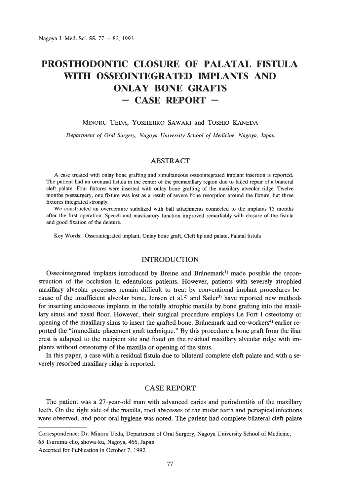# **PROSTHODONTIC CLOSURE OF PALATAL FISTULA WIlli OSSEOINTEGRATED IMPLANTS AND ONLAY BONE GRAFTS** - **CASE REPORT -**

#### MINORU UEDA, YOSHIHIRO SAWAKI and TOSHIO KANEDA

*Department of Oral Surgery, Nagoya University School of Medicine, Nagoya, Japan*

# ABSTRACT

A case treated with onlay bone grafting and simultaneous osseointegrated implant insertion is reported. The patient had an oronasal fistula in the center of the premaxillary region due to failed repair of a bilateral cleft palate. Four fixtures were inserted with onlay bone grafting of the maxillary alveolar ridge. Twelve months postsurgery, one fixture was lost as a result of severe bone resorption around the fixture, but three fixtures integrated strongly.

We constructed an overdenture stabilized with ball attachments connected to the implants 13 months after the first operation. Speech and masticatory function improved remarkably with closure of the fistula and good fixation of the denture.

Key Words: Osseointegrated implant, Onlay bone graft, Cleft lip and palate, Palatal fistula

#### INTRODUCTION

Osseointegrated implants introduced by Breine and Brånemark<sup>1)</sup> made possible the reconstruction of the occlusion in edentulous patients. However, patients with severely atrophied maxillary alveolar processes remain difficult to treat by conventional implant procedures because of the insufficient alveolar bone. Jensen et al.<sup>2)</sup> and Sailer<sup>3</sup> have reported new methods for inserting endosseous implants in the totally atrophic maxilla by bone grafting into the maxillary sinus and nasal floor. However, their surgical procedure employs Le Fort I osteotomy or opening of the maxillary sinus to insert the grafted bone. Brånemark and co-workers<sup>4)</sup> earlier reported the "immediate-placement graft technique." By this procedure a bone graft from the iliac crest is adapted to the recipient site and fixed on the residual maxillary alveolar ridge with implants without osteotomy of the maxilla or opening of the sinus.

In this paper, a case with a residual fistula due to bilateral complete cleft palate and with a severely resorbed maxillary ridge is reported.

# CASE REPORT

The patient was a 27-year-old man with advanced caries and periodontitis of the maxillary teeth. On the right side of the maxilla, root abscesses of the molar teeth and periapical infections were observed, and poor oral hygiene was noted. The patient had complete bilateral cleft palate

Correspondence: Dr. Minoru Veda, Department of Oral Surgery, Nagoya University School of Medicine,

<sup>65</sup> Tsuruma-cho, showa-ku, Nagoya, 466, Japan

Accepted for Publication in October 7, 1992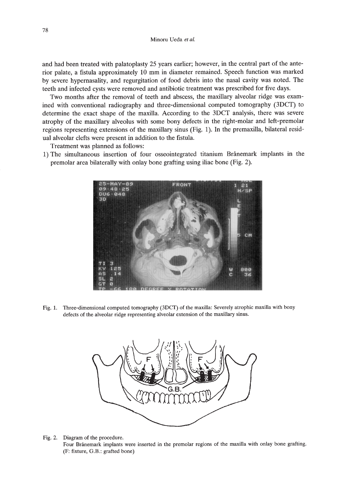Minoru Veda *et at.*

and had been treated with palatoplasty 25 years earlier; however, in the central part of the anterior palate, a fistula approximately 10 mm in diameter remained. Speech function was marked by severe hypernasality, and regurgitation of food debris into the nasal cavity was noted. The teeth and infected cysts were removed and antibiotic treatment was prescribed for five days.

Two months after the removal of teeth and abscess, the maxillary alveolar ridge was examined with conventional radiography and three-dimensional computed tomography (3DCf) to determine the exact shape of the maxilla. According to the 3DCT analysis, there was severe atrophy of the maxillary alveolus with some bony defects in the right-molar and left-premolar regions representing extensions of the maxillary sinus (Fig. 1). In the premaxilla, bilateral residual alveolar clefts were present in addition to the fistula.

Treatment was planned as follows:

1) The simultaneous insertion of four osseointegrated titanium Branemark implants in the premolar area bilaterally with onlay bone grafting using iliac bone (Fig. 2).



Fig. 1. Three-dimensional computed tomography (3DCf) of the maxilla: Severely atrophic maxilla with bony defects of the alveolar ridge representing alveolar extension of the maxillary sinus.



Fig. 2. Diagram of the procedure.

Four Brånemark implants were inserted in the premolar regions of the maxilla with onlay bone grafting. (F: fixture, G.B.: grafted bone)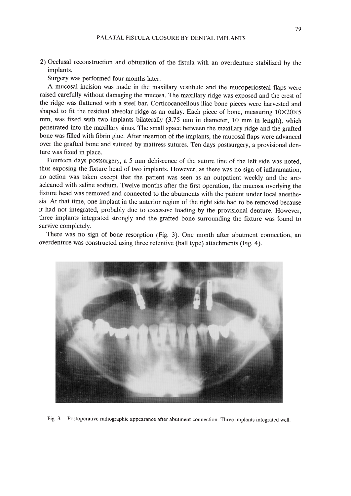2) Occlusal reconstruction and obturation of the fistula with an overdenture stabilized by the implants.

Surgery was performed four months later.

A mucosal incision was made in the maxillary vestibule and the mucoperiosteal flaps were raised carefully without damaging the mucosa. The maxillary ridge was exposed and the crest of the ridge was flattened with a steel bar. Corticocancellous iliac bone pieces were harvested and shaped to fit the residual alveolar ridge as an onlay. Each piece of bone, measuring  $10\times20\times5$ mm, was fixed with two implants bilaterally (3.75 mm in diameter, 10 mm in length), which penetrated into the maxillary sinus. The small space between the maxillary ridge and the grafted bone was filled with fibrin glue. After insertion of the implants, the mucosal flaps were advanced over the grafted bone and sutured by mattress sutures. Ten days postsurgery, a provisional denture was fixed in place.

Fourteen days postsurgery, a 5 mm dehiscence of the suture line of the left side was noted, thus exposing the fixture head of two implants. However, as there was no sign of inflammation, no action was taken except that the patient was seen as an outpatient weekly and the areacleaned with saline sodium. Twelve months after the first operation, the mucosa overlying the fixture head was removed and connected to the abutments with the patient under local anesthesia. At that time, one implant in the anterior region of the right side had to be removed because it had not integrated, probably due to excessive loading by the provisional denture. However, three implants integrated strongly and the grafted bone surrounding the fixture was found to survive completely.

There was no sign of bone resorption (Fig. 3). One month after abutment connection, an overdenture was constructed using three retentive (ball type) attachments (Fig. 4).



Fig. 3. Postoperative radiographic appearance after abutment connection. Three implants integrated well.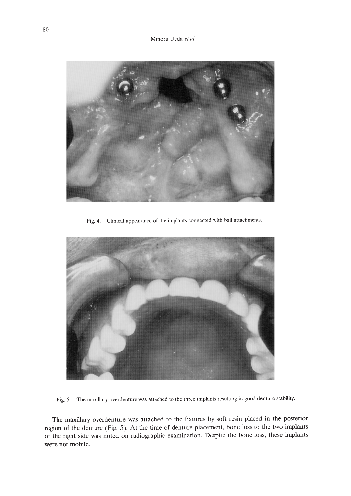

Fig. 4. Clinical appearance of the implants connected with hall attachments.



Fig. 5. The maxillary overdenture was attached to the three implants resulting in good denture stability.

The maxillary overdenture was attached to the fixtures by soft resin placed in the posterior region of the denture (Fig. 5). At the time of denture placement, bone loss to the two implants of the right side was noted on radiographic examination. Despite the bone loss, these implants were not mobile.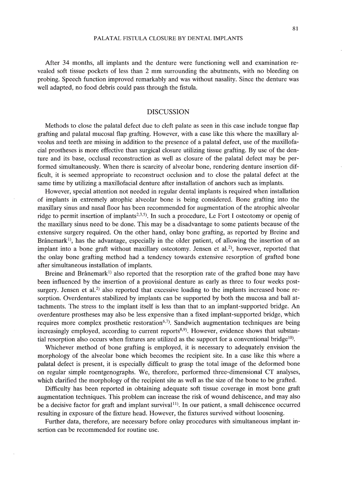After 34 months, all implants and the denture were functioning weIl and examination revealed soft tissue pockets of less than 2 mm surrounding the abutments, with no bleeding on probing. Speech function improved remarkably and was without nasality. Since the denture was well adapted, no food debris could pass through the fistula.

#### DISCUSSION

Methods to close the palatal defect due to cleft palate as seen in this case include tongue flap grafting and palatal mucosal flap grafting. However, with a case like this where the maxillary alveolus and teeth are missing in addition to the presence of a palatal defect, use of the maxillofacial prostheses is more effective than surgical closure utilizing tissue grafting. By use of the denture and its base, occlusal reconstruction as well as closure of the palatal defect may be performed simultaneously. When there is scarcity of alveolar bone, rendering denture insertion difficult, it is seemed appropriate to reconstruct occlusion and to close the palatal defect at the same time by utilizing a maxillofacial denture after installation of anchors such as implants.

However, special attention not needed in regular dental implants is required when installation of implants in extremely atrophic alveolar bone is being considered. Bone grafting into the maxillary sinus and nasal floor has been recommended for augmentation of the atrophic alveolar ridge to permit insertion of implants<sup>2,3,5)</sup>. In such a procedure, Le Fort I osteotomy or openig of the maxillary sinus need to be done. This may be a disadvantage to some patients because of the extensive surgery required. On the other hand, onlay bone grafting, as reported by Breine and Brånemark<sup>1)</sup>, has the advantage, especially in the older patient, of allowing the insertion of an implant into a bone graft without maxillary osteotomy. Jensen et al.<sup>2)</sup>, however, reported that the onlay bone grafting method had a tendency towards extensive resorption of grafted bone after simultaneous installation of implants.

Breine and Brånemark<sup>1)</sup> also reported that the resorption rate of the grafted bone may have been influenced by the insertion of a provisional denture as early as three to four weeks postsurgery. Jensen et al.<sup>2)</sup> also reported that excessive loading to the implants increased bone resorption. Overdentures stabilized by implants can be supported by both the mucosa and ball attachments. The stress to the implant itself is less than that to an implant-supported bridge. An overdenture prostheses may also be less expensive than a fixed implant-supported bridge, which requires more complex prosthetic restoration $6.7$ ). Sandwich augmentation techniques are being increasingly employed, according to current reports<sup>8,9</sup>). However, evidence shows that substantial resorption also occurs when fixtures are utilized as the support for a conventional bridge<sup>10</sup>.

Whichever method of bone grafting is employed, it is necessary to adequately envision the morphology of the alveolar bone which becomes the recipient site. In a case like this where a palatal defect is present, it is especially difficult to grasp the total image of the deformed bone on regular simple roentgenographs. We, therefore, performed three-dimensional CT analyses, which clarified the morphology of the recipient site as well as the size of the bone to be grafted.

Difficulty has been reported in obtaining adequate soft tissue coverage in most bone graft augmentation techniques. This problem can increase the risk of wound dehiscence, and may also be a decisive factor for graft and implant survival<sup>11</sup>). In our patient, a small dehiscence occurred resulting in exposure of the fixture head. However, the fixtures survived without loosening.

Further data, therefore, are necessary before onlay procedures with simultaneous implant insertion can be recommended for routine use.